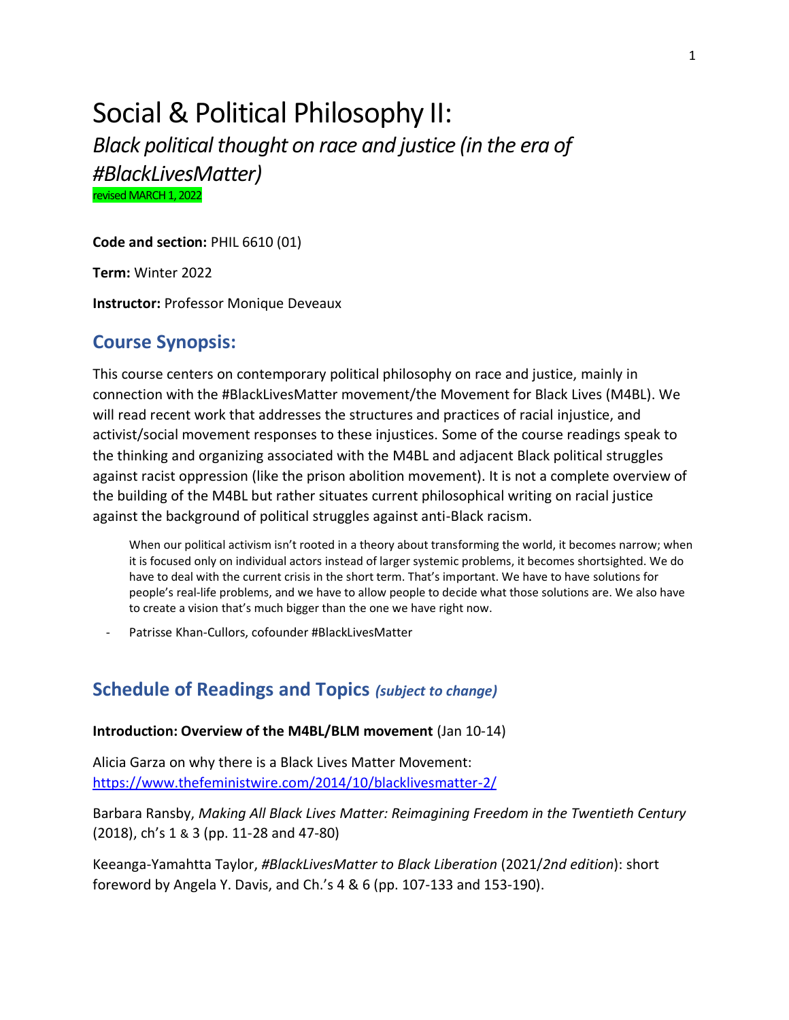# Social & Political Philosophy II: *Black political thought on race and justice (in the era of*

*#BlackLivesMatter)*

revised MARCH 1, 2022

**Code and section:** PHIL 6610 (01)

**Term:** Winter 2022

**Instructor:** Professor Monique Deveaux

# **Course Synopsis:**

This course centers on contemporary political philosophy on race and justice, mainly in connection with the #BlackLivesMatter movement/the Movement for Black Lives (M4BL). We will read recent work that addresses the structures and practices of racial injustice, and activist/social movement responses to these injustices. Some of the course readings speak to the thinking and organizing associated with the M4BL and adjacent Black political struggles against racist oppression (like the prison abolition movement). It is not a complete overview of the building of the M4BL but rather situates current philosophical writing on racial justice against the background of political struggles against anti-Black racism.

When our political activism isn't rooted in a theory about transforming the world, it becomes narrow; when it is focused only on individual actors instead of larger systemic problems, it becomes shortsighted. We do have to deal with the current crisis in the short term. That's important. We have to have solutions for people's real-life problems, and we have to allow people to decide what those solutions are. We also have to create a vision that's much bigger than the one we have right now.

Patrisse Khan-Cullors, cofounder #BlackLivesMatter

## **Schedule of Readings and Topics** *(subject to change)*

#### **Introduction: Overview of the M4BL/BLM movement** (Jan 10-14)

Alicia Garza on why there is a Black Lives Matter Movement: <https://www.thefeministwire.com/2014/10/blacklivesmatter-2/>

Barbara Ransby, *Making All Black Lives Matter: Reimagining Freedom in the Twentieth Century* (2018), ch's 1 & 3 (pp. 11-28 and 47-80)

Keeanga-Yamahtta Taylor, *#BlackLivesMatter to Black Liberation* (2021/*2nd edition*): short foreword by Angela Y. Davis, and Ch.'s 4 & 6 (pp. 107-133 and 153-190).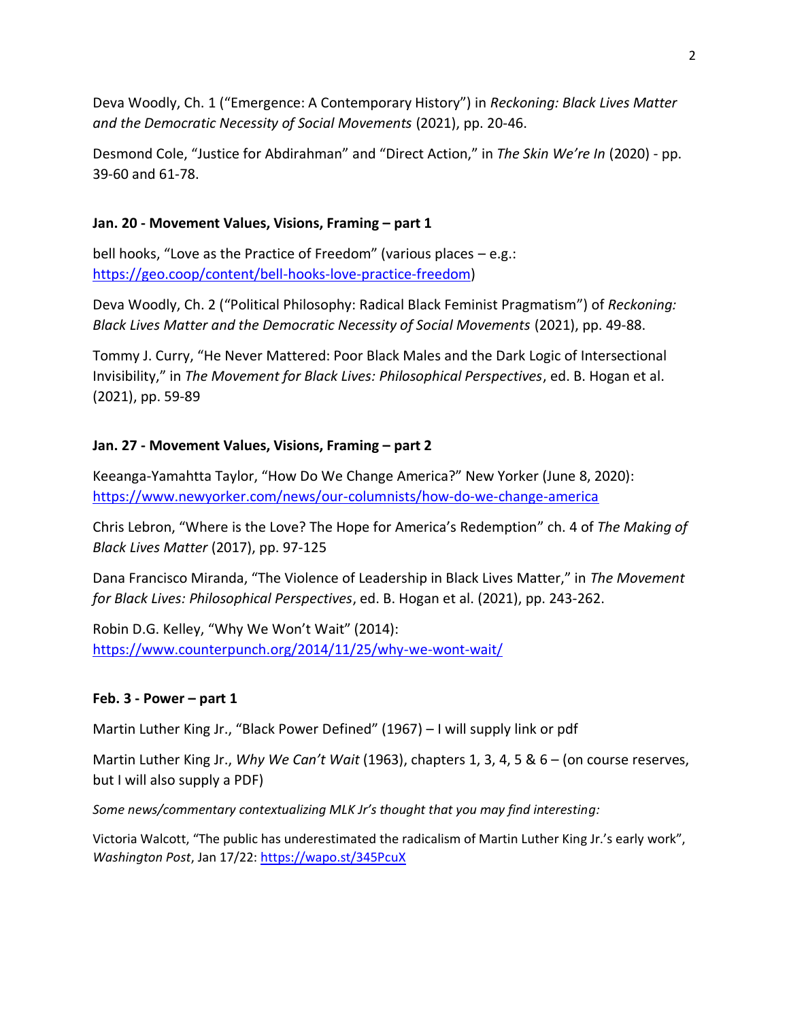Deva Woodly, Ch. 1 ("Emergence: A Contemporary History") in *Reckoning: Black Lives Matter and the Democratic Necessity of Social Movements* (2021), pp. 20-46.

Desmond Cole, "Justice for Abdirahman" and "Direct Action," in *The Skin We're In* (2020) - pp. 39-60 and 61-78.

### **Jan. 20 - Movement Values, Visions, Framing – part 1**

bell hooks, "Love as the Practice of Freedom" (various places – e.g.: [https://geo.coop/content/bell-hooks-love-practice-freedom\)](https://geo.coop/content/bell-hooks-love-practice-freedom)

Deva Woodly, Ch. 2 ("Political Philosophy: Radical Black Feminist Pragmatism") of *Reckoning: Black Lives Matter and the Democratic Necessity of Social Movements* (2021), pp. 49-88.

Tommy J. Curry, "He Never Mattered: Poor Black Males and the Dark Logic of Intersectional Invisibility," in *The Movement for Black Lives: Philosophical Perspectives*, ed. B. Hogan et al. (2021), pp. 59-89

## **Jan. 27 - Movement Values, Visions, Framing – part 2**

Keeanga-Yamahtta Taylor, "How Do We Change America?" New Yorker (June 8, 2020): <https://www.newyorker.com/news/our-columnists/how-do-we-change-america>

Chris Lebron, "Where is the Love? The Hope for America's Redemption" ch. 4 of *The Making of Black Lives Matter* (2017), pp. 97-125

Dana Francisco Miranda, "The Violence of Leadership in Black Lives Matter," in *The Movement for Black Lives: Philosophical Perspectives*, ed. B. Hogan et al. (2021), pp. 243-262.

Robin D.G. Kelley, "Why We Won't Wait" (2014): <https://www.counterpunch.org/2014/11/25/why-we-wont-wait/>

#### **Feb. 3 - Power – part 1**

Martin Luther King Jr., "Black Power Defined" (1967) – I will supply link or pdf

Martin Luther King Jr., *Why We Can't Wait* (1963), chapters 1, 3, 4, 5 & 6 – (on course reserves, but I will also supply a PDF)

*Some news/commentary contextualizing MLK Jr's thought that you may find interesting:* 

Victoria Walcott, "The public has underestimated the radicalism of Martin Luther King Jr.'s early work", *Washington Post*, Jan 17/22:<https://wapo.st/345PcuX>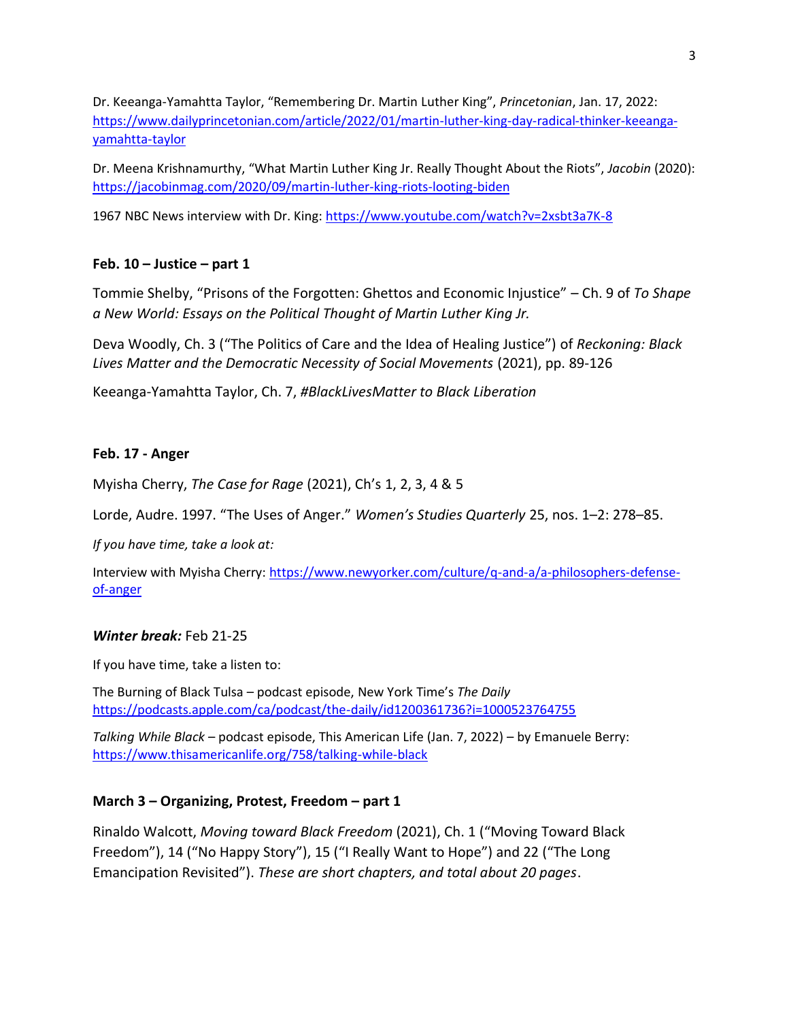Dr. Keeanga-Yamahtta Taylor, "Remembering Dr. Martin Luther King", *Princetonian*, Jan. 17, 2022: [https://www.dailyprincetonian.com/article/2022/01/martin-luther-king-day-radical-thinker-keeanga](https://www.dailyprincetonian.com/article/2022/01/martin-luther-king-day-radical-thinker-keeanga-yamahtta-taylor)[yamahtta-taylor](https://www.dailyprincetonian.com/article/2022/01/martin-luther-king-day-radical-thinker-keeanga-yamahtta-taylor)

Dr. Meena Krishnamurthy, "What Martin Luther King Jr. Really Thought About the Riots", *Jacobin* (2020): <https://jacobinmag.com/2020/09/martin-luther-king-riots-looting-biden>

1967 NBC News interview with Dr. King:<https://www.youtube.com/watch?v=2xsbt3a7K-8>

### **Feb. 10 – Justice – part 1**

Tommie Shelby, "Prisons of the Forgotten: Ghettos and Economic Injustice" – Ch. 9 of *To Shape a New World: Essays on the Political Thought of Martin Luther King Jr.*

Deva Woodly, Ch. 3 ("The Politics of Care and the Idea of Healing Justice") of *Reckoning: Black Lives Matter and the Democratic Necessity of Social Movements* (2021), pp. 89-126

Keeanga-Yamahtta Taylor, Ch. 7, *#BlackLivesMatter to Black Liberation*

#### **Feb. 17 - Anger**

Myisha Cherry, *The Case for Rage* (2021), Ch's 1, 2, 3, 4 & 5

Lorde, Audre. 1997. "The Uses of Anger." *Women's Studies Quarterly* 25, nos. 1–2: 278–85.

*If you have time, take a look at:*

Interview with Myisha Cherry: [https://www.newyorker.com/culture/q-and-a/a-philosophers-defense](https://www.newyorker.com/culture/q-and-a/a-philosophers-defense-of-anger)[of-anger](https://www.newyorker.com/culture/q-and-a/a-philosophers-defense-of-anger)

#### *Winter break:* Feb 21-25

If you have time, take a listen to:

The Burning of Black Tulsa – podcast episode, New York Time's *The Daily* <https://podcasts.apple.com/ca/podcast/the-daily/id1200361736?i=1000523764755>

*Talking While Black* – podcast episode, This American Life (Jan. 7, 2022) – by Emanuele Berry: <https://www.thisamericanlife.org/758/talking-while-black>

#### **March 3 – Organizing, Protest, Freedom – part 1**

Rinaldo Walcott, *Moving toward Black Freedom* (2021), Ch. 1 ("Moving Toward Black Freedom"), 14 ("No Happy Story"), 15 ("I Really Want to Hope") and 22 ("The Long Emancipation Revisited"). *These are short chapters, and total about 20 pages*.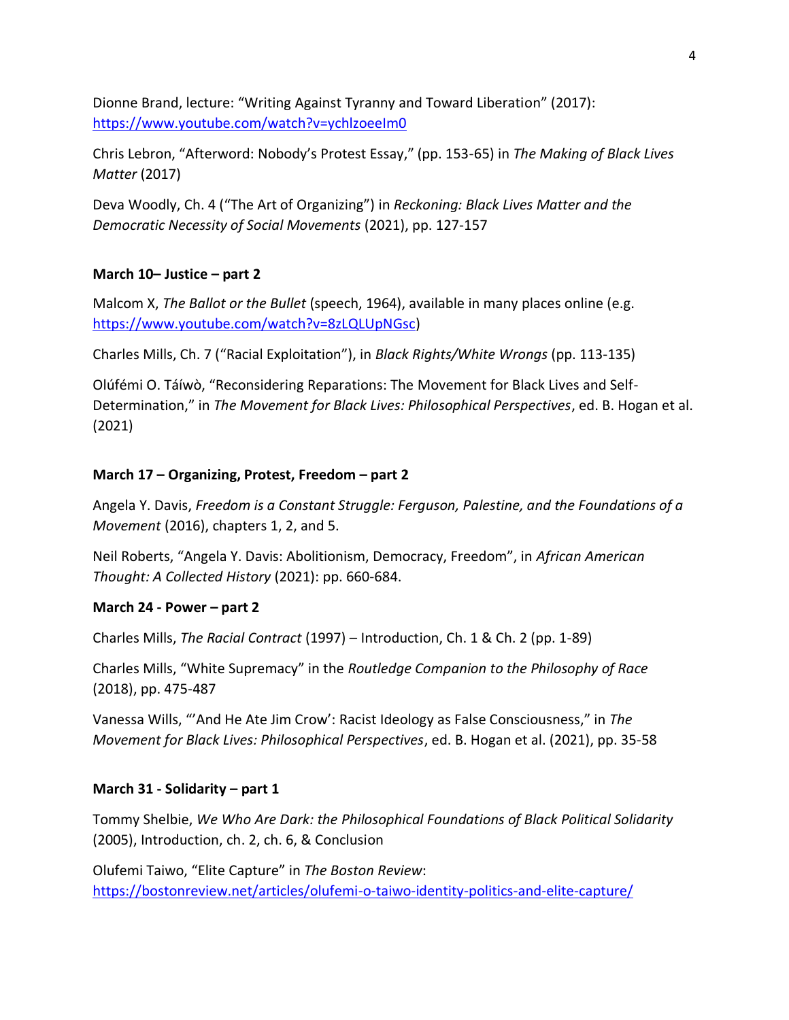Dionne Brand, lecture: "Writing Against Tyranny and Toward Liberation" (2017): <https://www.youtube.com/watch?v=ychlzoeeIm0>

Chris Lebron, "Afterword: Nobody's Protest Essay," (pp. 153-65) in *The Making of Black Lives Matter* (2017)

Deva Woodly, Ch. 4 ("The Art of Organizing") in *Reckoning: Black Lives Matter and the Democratic Necessity of Social Movements* (2021), pp. 127-157

### **March 10– Justice – part 2**

Malcom X, *The Ballot or the Bullet* (speech, 1964), available in many places online (e.g. [https://www.youtube.com/watch?v=8zLQLUpNGsc\)](https://www.youtube.com/watch?v=8zLQLUpNGsc)

Charles Mills, Ch. 7 ("Racial Exploitation"), in *Black Rights/White Wrongs* (pp. 113-135)

Olúfémi O. Táíwò, "Reconsidering Reparations: The Movement for Black Lives and Self-Determination," in *The Movement for Black Lives: Philosophical Perspectives*, ed. B. Hogan et al. (2021)

### **March 17 – Organizing, Protest, Freedom – part 2**

Angela Y. Davis, *Freedom is a Constant Struggle: Ferguson, Palestine, and the Foundations of a Movement* (2016), chapters 1, 2, and 5.

Neil Roberts, "Angela Y. Davis: Abolitionism, Democracy, Freedom", in *African American Thought: A Collected History* (2021): pp. 660-684.

#### **March 24 - Power – part 2**

Charles Mills, *The Racial Contract* (1997) – Introduction, Ch. 1 & Ch. 2 (pp. 1-89)

Charles Mills, "White Supremacy" in the *Routledge Companion to the Philosophy of Race*  (2018), pp. 475-487

Vanessa Wills, "'And He Ate Jim Crow': Racist Ideology as False Consciousness," in *The Movement for Black Lives: Philosophical Perspectives*, ed. B. Hogan et al. (2021), pp. 35-58

#### **March 31 - Solidarity – part 1**

Tommy Shelbie, *We Who Are Dark: the Philosophical Foundations of Black Political Solidarity* (2005), Introduction, ch. 2, ch. 6, & Conclusion

Olufemi Taiwo, "Elite Capture" in *The Boston Review*: <https://bostonreview.net/articles/olufemi-o-taiwo-identity-politics-and-elite-capture/>